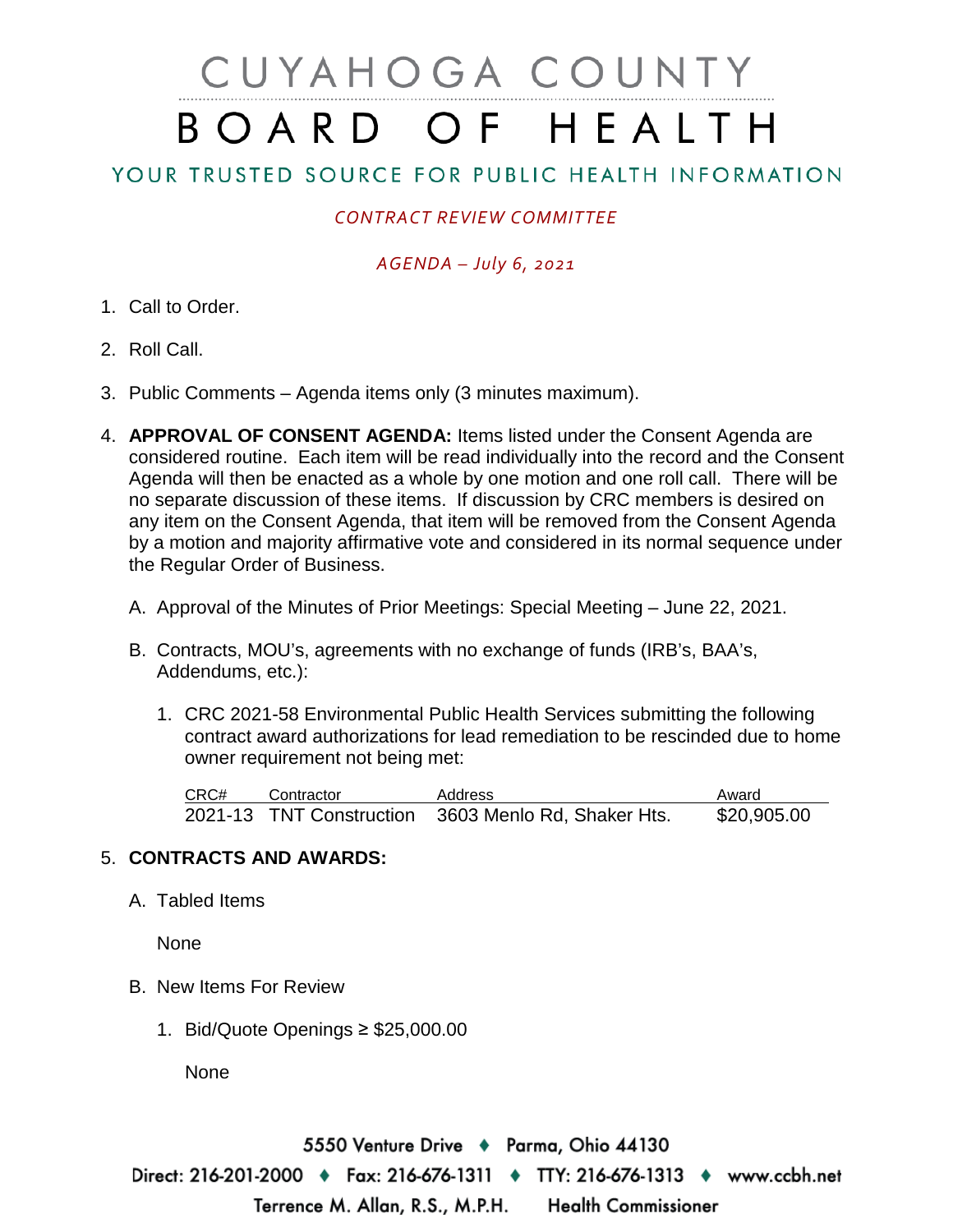# CUYAHOGA COUNTY BOARD OF HEALTH

## YOUR TRUSTED SOURCE FOR PUBLIC HEALTH INFORMATION

### *CONTRACT REVIEW COMMITTEE*

#### *AGENDA – July 6, 2021*

- 1. Call to Order.
- 2. Roll Call.
- 3. Public Comments Agenda items only (3 minutes maximum).
- 4. **APPROVAL OF CONSENT AGENDA:** Items listed under the Consent Agenda are considered routine. Each item will be read individually into the record and the Consent Agenda will then be enacted as a whole by one motion and one roll call. There will be no separate discussion of these items. If discussion by CRC members is desired on any item on the Consent Agenda, that item will be removed from the Consent Agenda by a motion and majority affirmative vote and considered in its normal sequence under the Regular Order of Business.
	- A. Approval of the Minutes of Prior Meetings: Special Meeting June 22, 2021.
	- B. Contracts, MOU's, agreements with no exchange of funds (IRB's, BAA's, Addendums, etc.):
		- 1. CRC 2021-58 Environmental Public Health Services submitting the following contract award authorizations for lead remediation to be rescinded due to home owner requirement not being met:

| CRC# | Contractor | Address                                             | Award       |
|------|------------|-----------------------------------------------------|-------------|
|      |            | 2021-13 TNT Construction 3603 Menlo Rd, Shaker Hts. | \$20,905.00 |

#### 5. **CONTRACTS AND AWARDS:**

A. Tabled Items

None

- B. New Items For Review
	- 1. Bid/Quote Openings ≥ \$25,000.00

None

5550 Venture Drive ♦ Parma, Ohio 44130 Direct: 216-201-2000 ♦ Fax: 216-676-1311 ♦ TTY: 216-676-1313 ♦ www.ccbh.net Terrence M. Allan, R.S., M.P.H. **Health Commissioner**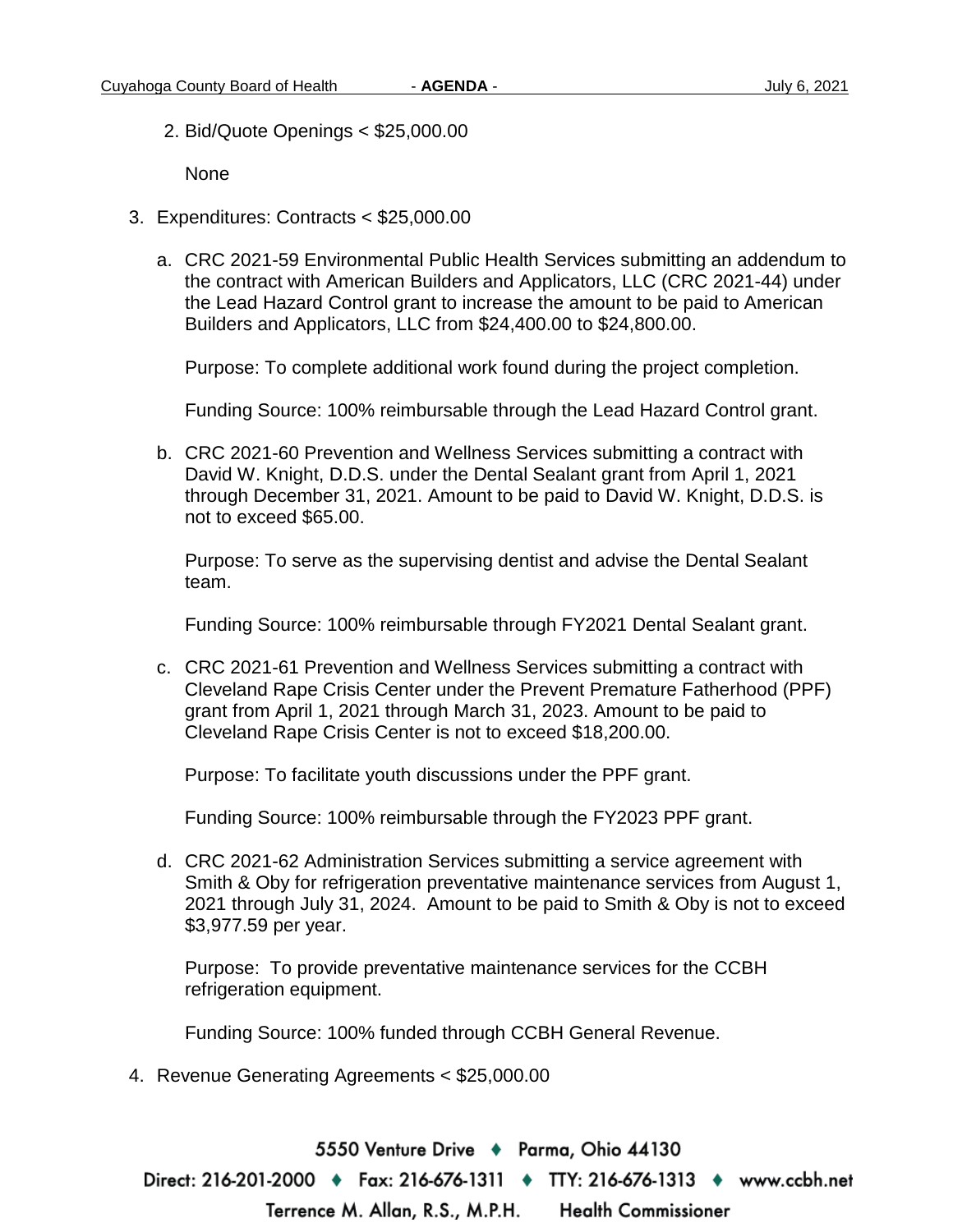2. Bid/Quote Openings < \$25,000.00

None

- 3. Expenditures: Contracts < \$25,000.00
	- a. CRC 2021-59 Environmental Public Health Services submitting an addendum to the contract with American Builders and Applicators, LLC (CRC 2021-44) under the Lead Hazard Control grant to increase the amount to be paid to American Builders and Applicators, LLC from \$24,400.00 to \$24,800.00.

Purpose: To complete additional work found during the project completion.

Funding Source: 100% reimbursable through the Lead Hazard Control grant.

b. CRC 2021-60 Prevention and Wellness Services submitting a contract with David W. Knight, D.D.S. under the Dental Sealant grant from April 1, 2021 through December 31, 2021. Amount to be paid to David W. Knight, D.D.S. is not to exceed \$65.00.

Purpose: To serve as the supervising dentist and advise the Dental Sealant team.

Funding Source: 100% reimbursable through FY2021 Dental Sealant grant.

c. CRC 2021-61 Prevention and Wellness Services submitting a contract with Cleveland Rape Crisis Center under the Prevent Premature Fatherhood (PPF) grant from April 1, 2021 through March 31, 2023. Amount to be paid to Cleveland Rape Crisis Center is not to exceed \$18,200.00.

Purpose: To facilitate youth discussions under the PPF grant.

Funding Source: 100% reimbursable through the FY2023 PPF grant.

d. CRC 2021-62 Administration Services submitting a service agreement with Smith & Oby for refrigeration preventative maintenance services from August 1, 2021 through July 31, 2024. Amount to be paid to Smith & Oby is not to exceed \$3,977.59 per year.

Purpose: To provide preventative maintenance services for the CCBH refrigeration equipment.

Funding Source: 100% funded through CCBH General Revenue.

4. Revenue Generating Agreements < \$25,000.00

5550 Venture Drive → Parma, Ohio 44130 Direct: 216-201-2000 ♦ Fax: 216-676-1311 ♦ TTY: 216-676-1313 ♦ www.ccbh.net Terrence M. Allan, R.S., M.P.H. **Health Commissioner**